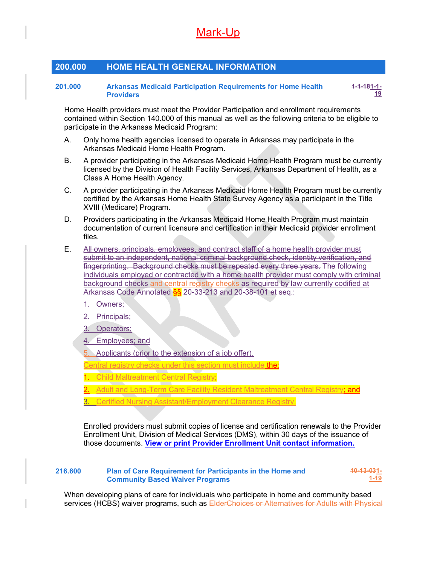# Mark-Up

### 200.000 HOME HEALTH GENERAL INFORMATION

### 201.000 Arkansas Medicaid Participation Requirements for Home Health **Providers** 1-1-181-1-

Home Health providers must meet the Provider Participation and enrollment requirements contained within Section 140.000 of this manual as well as the following criteria to be eligible to participate in the Arkansas Medicaid Program:

19

- A. Only home health agencies licensed to operate in Arkansas may participate in the Arkansas Medicaid Home Health Program.
- B. A provider participating in the Arkansas Medicaid Home Health Program must be currently licensed by the Division of Health Facility Services, Arkansas Department of Health, as a Class A Home Health Agency.
- C. A provider participating in the Arkansas Medicaid Home Health Program must be currently certified by the Arkansas Home Health State Survey Agency as a participant in the Title XVIII (Medicare) Program.
- D. Providers participating in the Arkansas Medicaid Home Health Program must maintain documentation of current licensure and certification in their Medicaid provider enrollment files.
- E. All owners, principals, employees, and contract staff of a home health provider must submit to an independent, national criminal background check, identity verification, and fingerprinting. Background checks must be repeated every three years. The following individuals employed or contracted with a home health provider must comply with criminal background checks and central registry checks as required by law currently codified at Arkansas Code Annotated  $\S$ § 20-33-213 and 20-38-101 et seq.:
	- 1. Owners;
	- 2. Principals;
	- 3. Operators;
	- 4. Employees; and
	- Applicants (prior to the extension of a job offer).
	- entral registry checks under this section must include the:
	- Child Maltreatment Central Registry;
	- Adult and Long-Term Care Facility Resident Maltreatment Central Registry; and
	- 3. Certified Nursing Assistant/Employment Clearance Registry.

Enrolled providers must submit copies of license and certification renewals to the Provider Enrollment Unit, Division of Medical Services (DMS), within 30 days of the issuance of those documents. View or print Provider Enrollment Unit contact information.

#### 216.600 Plan of Care Requirement for Participants in the Home and Community Based Waiver Programs 10-13-031- 1-19

When developing plans of care for individuals who participate in home and community based services (HCBS) waiver programs, such as ElderChoices or Alternatives for Adults with Physical